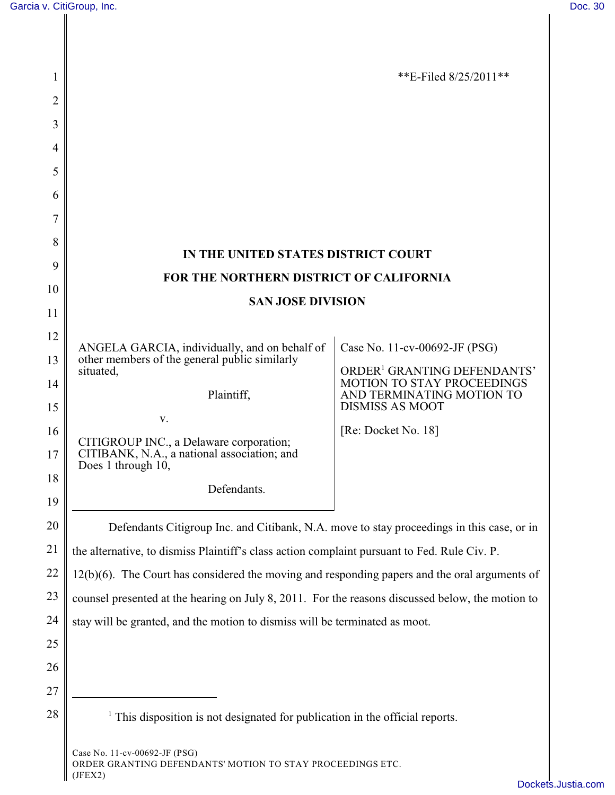| 1              |                                                                                                              | **E-Filed $8/25/2011$ **                                                     |
|----------------|--------------------------------------------------------------------------------------------------------------|------------------------------------------------------------------------------|
| $\overline{2}$ |                                                                                                              |                                                                              |
| 3              |                                                                                                              |                                                                              |
| 4              |                                                                                                              |                                                                              |
| 5              |                                                                                                              |                                                                              |
| 6              |                                                                                                              |                                                                              |
| 7              |                                                                                                              |                                                                              |
| 8              | IN THE UNITED STATES DISTRICT COURT                                                                          |                                                                              |
| 9              | FOR THE NORTHERN DISTRICT OF CALIFORNIA                                                                      |                                                                              |
| 10             |                                                                                                              |                                                                              |
| 11             | <b>SAN JOSE DIVISION</b>                                                                                     |                                                                              |
| 12             |                                                                                                              |                                                                              |
| 13             | ANGELA GARCIA, individually, and on behalf of<br>other members of the general public similarly               | Case No. 11-cv-00692-JF (PSG)                                                |
| 14             | situated,                                                                                                    | ORDER <sup>1</sup> GRANTING DEFENDANTS'<br><b>MOTION TO STAY PROCEEDINGS</b> |
| 15             | Plaintiff,                                                                                                   | AND TERMINATING MOTION TO<br><b>DISMISS AS MOOT</b>                          |
| 16             | V.                                                                                                           | [Re: Docket No. 18]                                                          |
| 17             | CITIGROUP INC., a Delaware corporation;<br>CITIBANK, N.A., a national association; and<br>Does 1 through 10, |                                                                              |
| 18             | Defendants.                                                                                                  |                                                                              |
| 19             |                                                                                                              |                                                                              |
| 20             | Defendants Citigroup Inc. and Citibank, N.A. move to stay proceedings in this case, or in                    |                                                                              |
| 21             | the alternative, to dismiss Plaintiff's class action complaint pursuant to Fed. Rule Civ. P.                 |                                                                              |
| 22             | $12(b)(6)$ . The Court has considered the moving and responding papers and the oral arguments of             |                                                                              |
| 23             | counsel presented at the hearing on July 8, 2011. For the reasons discussed below, the motion to             |                                                                              |
| 24             | stay will be granted, and the motion to dismiss will be terminated as moot.                                  |                                                                              |
| 25             |                                                                                                              |                                                                              |
| 26             |                                                                                                              |                                                                              |
| 27             |                                                                                                              |                                                                              |
| 28             | <sup>1</sup> This disposition is not designated for publication in the official reports.                     |                                                                              |
|                | Case No. 11-cv-00692-JF (PSG)                                                                                |                                                                              |

ORDER GRANTING DEFENDANTS' MOTION TO STAY PROCEEDINGS ETC. (JFEX2)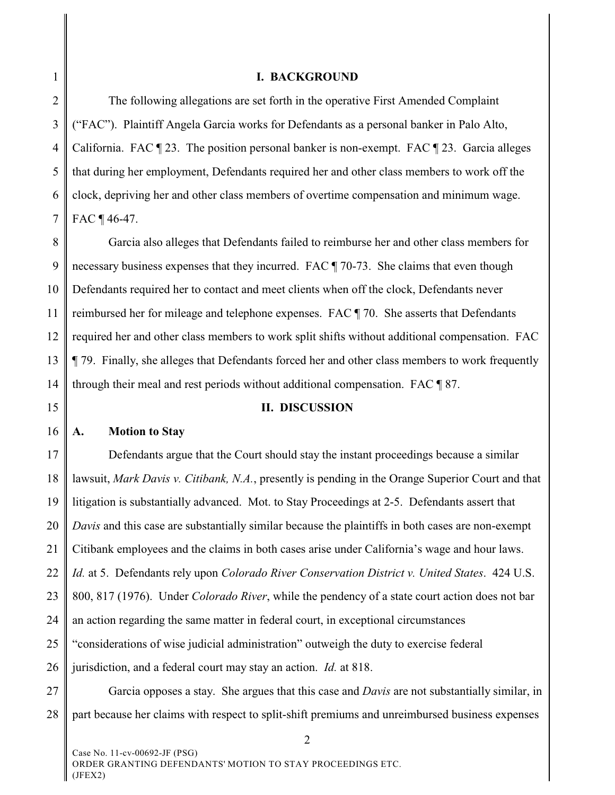1

## **I. BACKGROUND**

2 3 4 5 6 7 The following allegations are set forth in the operative First Amended Complaint ("FAC"). Plaintiff Angela Garcia works for Defendants as a personal banker in Palo Alto, California. FAC  $\P$  23. The position personal banker is non-exempt. FAC  $\P$  23. Garcia alleges that during her employment, Defendants required her and other class members to work off the clock, depriving her and other class members of overtime compensation and minimum wage. FAC ¶ 46-47.

8 9 10 11 12 13 14 Garcia also alleges that Defendants failed to reimburse her and other class members for necessary business expenses that they incurred. FAC ¶ 70-73. She claims that even though Defendants required her to contact and meet clients when off the clock, Defendants never reimbursed her for mileage and telephone expenses. FAC ¶ 70. She asserts that Defendants required her and other class members to work split shifts without additional compensation. FAC ¶ 79. Finally, she alleges that Defendants forced her and other class members to work frequently through their meal and rest periods without additional compensation. FAC ¶ 87.

15

## 16 **A. Motion to Stay**

## **II. DISCUSSION**

17 18 19 20 21 22 23 24 25 26 27 Defendants argue that the Court should stay the instant proceedings because a similar lawsuit, *Mark Davis v. Citibank, N.A.*, presently is pending in the Orange Superior Court and that litigation is substantially advanced. Mot. to Stay Proceedings at 2-5. Defendants assert that *Davis* and this case are substantially similar because the plaintiffs in both cases are non-exempt Citibank employees and the claims in both cases arise under California's wage and hour laws. *Id.* at 5. Defendants rely upon *Colorado River Conservation District v. United States*. 424 U.S. 800, 817 (1976).Under *Colorado River*, while the pendency of a state court action does not bar an action regarding the same matter in federal court, in exceptional circumstances "considerations of wise judicial administration" outweigh the duty to exercise federal jurisdiction, and a federal court may stay an action. *Id.* at 818. Garcia opposes a stay. She argues that this case and *Davis* are not substantially similar, in

 $\overline{2}$ 

28 part because her claims with respect to split-shift premiums and unreimbursed business expenses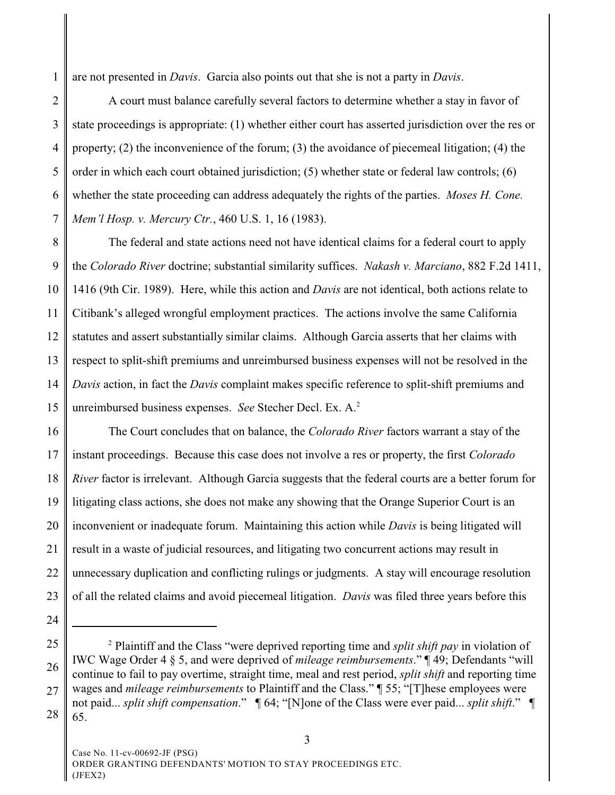1 are not presented in *Davis*. Garcia also points out that she is not a party in *Davis*.

2 3 4 5 6 7 A court must balance carefully several factors to determine whether a stay in favor of state proceedings is appropriate: (1) whether either court has asserted jurisdiction over the res or property; (2) the inconvenience of the forum; (3) the avoidance of piecemeal litigation; (4) the order in which each court obtained jurisdiction; (5) whether state or federal law controls; (6) whether the state proceeding can address adequately the rights of the parties. *Moses H. Cone. Mem'l Hosp. v. Mercury Ctr.*, 460 U.S. 1, 16 (1983).

8 9 10 11 12 13 14 15 The federal and state actions need not have identical claims for a federal court to apply the *Colorado River* doctrine; substantial similarity suffices. *Nakash v. Marciano*, 882 F.2d 1411, 1416 (9th Cir. 1989). Here, while this action and *Davis* are not identical, both actions relate to Citibank's alleged wrongful employment practices. The actions involve the same California statutes and assert substantially similar claims. Although Garcia asserts that her claims with respect to split-shift premiums and unreimbursed business expenses will not be resolved in the *Davis* action, in fact the *Davis* complaint makes specific reference to split-shift premiums and unreimbursed business expenses. *See* Stecher Decl. Ex. A.<sup>2</sup>

16 17 18 19 20 21 22 23 The Court concludes that on balance, the *Colorado River* factors warrant a stay of the instant proceedings. Because this case does not involve a res or property, the first *Colorado River* factor is irrelevant. Although Garcia suggests that the federal courts are a better forum for litigating class actions, she does not make any showing that the Orange Superior Court is an inconvenient or inadequate forum. Maintaining this action while *Davis* is being litigated will result in a waste of judicial resources, and litigating two concurrent actions may result in unnecessary duplication and conflicting rulings or judgments. A stay will encourage resolution of all the related claims and avoid piecemeal litigation. *Davis* was filed three years before this

- 24
- 25

<sup>26</sup> 27 28 Plaintiff and the Class "were deprived reporting time and *split shift pay* in violation of <sup>2</sup> IWC Wage Order 4 § 5, and were deprived of *mileage reimbursements*." ¶ 49; Defendants "will continue to fail to pay overtime, straight time, meal and rest period, *split shift* and reporting time wages and *mileage reimbursements* to Plaintiff and the Class." ¶ 55; "[T]hese employees were not paid... *split shift compensation*." ¶ 64; "[N]one of the Class were ever paid... *split shift*." ¶ 65.